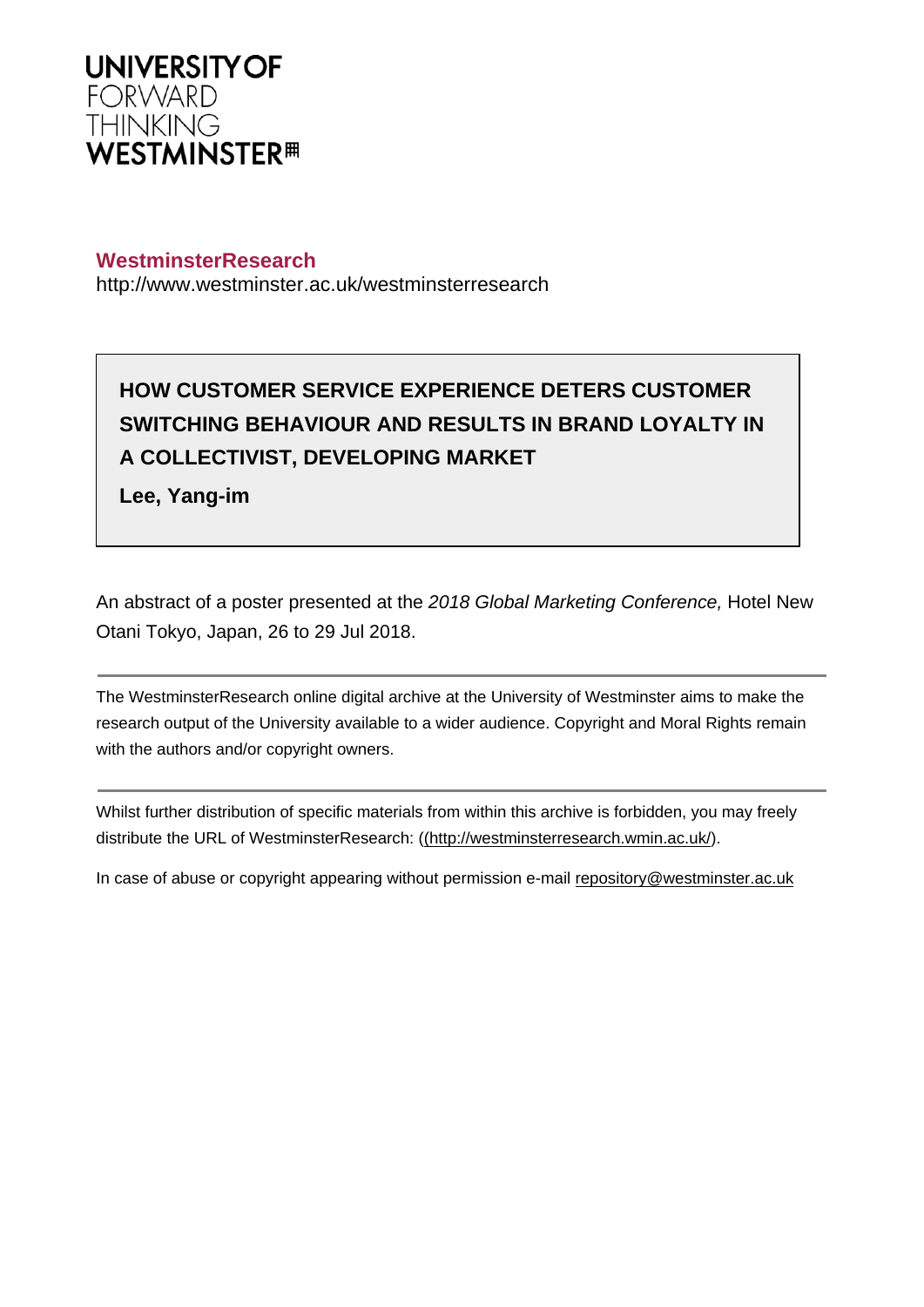

## **WestminsterResearch**

http://www.westminster.ac.uk/westminsterresearch

# **HOW CUSTOMER SERVICE EXPERIENCE DETERS CUSTOMER SWITCHING BEHAVIOUR AND RESULTS IN BRAND LOYALTY IN A COLLECTIVIST, DEVELOPING MARKET**

**Lee, Yang-im**

An abstract of a poster presented at the 2018 Global Marketing Conference, Hotel New Otani Tokyo, Japan, 26 to 29 Jul 2018.

The WestminsterResearch online digital archive at the University of Westminster aims to make the research output of the University available to a wider audience. Copyright and Moral Rights remain with the authors and/or copyright owners.

Whilst further distribution of specific materials from within this archive is forbidden, you may freely distribute the URL of WestminsterResearch: [\(\(http://westminsterresearch.wmin.ac.uk/](http://westminsterresearch.wmin.ac.uk/)).

In case of abuse or copyright appearing without permission e-mail <repository@westminster.ac.uk>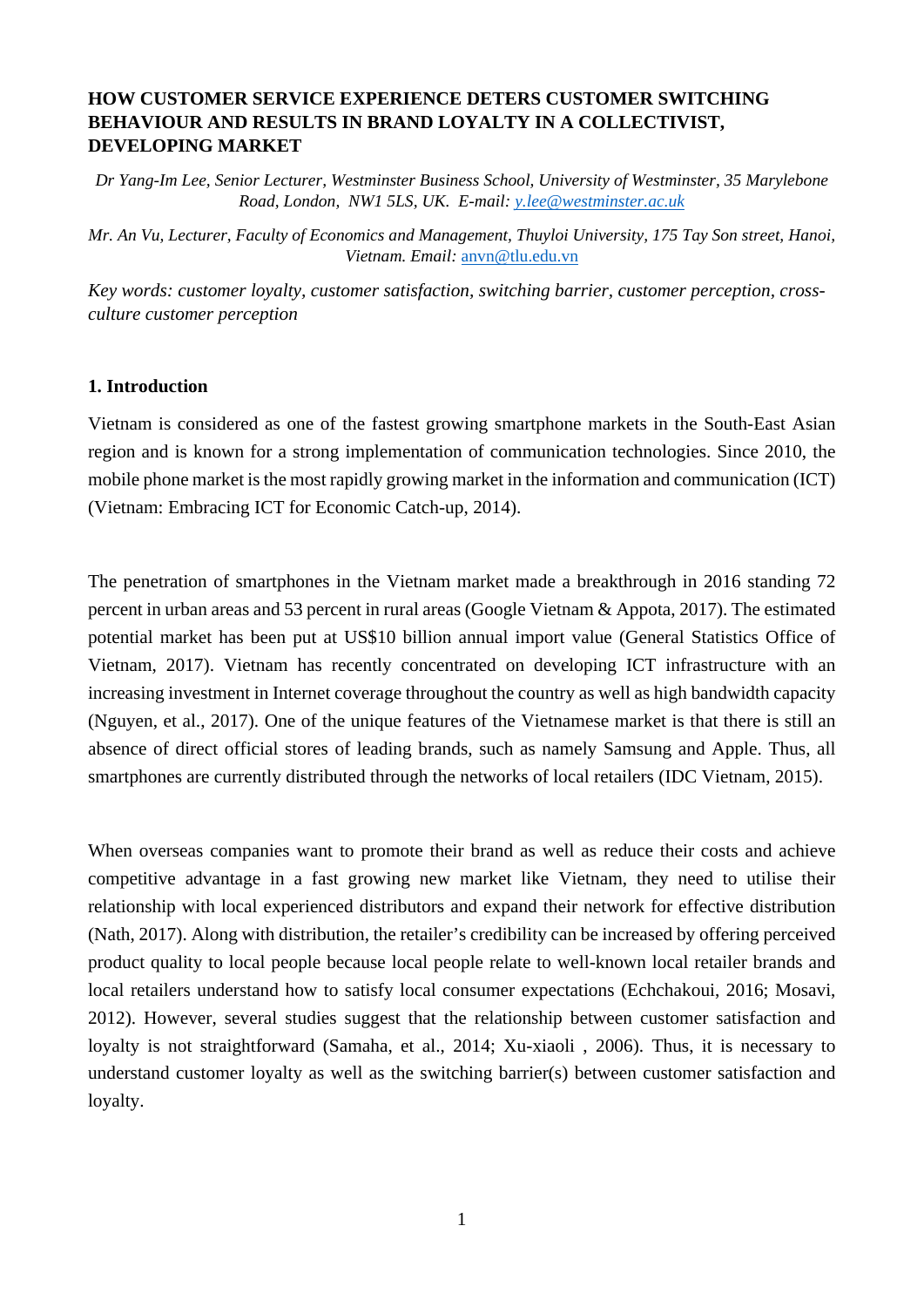## **HOW CUSTOMER SERVICE EXPERIENCE DETERS CUSTOMER SWITCHING BEHAVIOUR AND RESULTS IN BRAND LOYALTY IN A COLLECTIVIST, DEVELOPING MARKET**

*Dr Yang-Im Lee, Senior Lecturer, Westminster Business School, University of Westminster, 35 Marylebone Road, London, NW1 5LS, UK. E-mail: [y.lee@westminster.ac.uk](mailto:y.lee@westminster.ac.uk)*

*Mr. An Vu, Lecturer, Faculty of Economics and Management, Thuyloi University, 175 Tay Son street, Hanoi, Vietnam. Email:* [anvn@tlu.edu.vn](mailto:anvn@tlu.edu.vn)

*Key words: customer loyalty, customer satisfaction, switching barrier, customer perception, crossculture customer perception*

## **1. Introduction**

Vietnam is considered as one of the fastest growing smartphone markets in the South-East Asian region and is known for a strong implementation of communication technologies. Since 2010, the mobile phone market is the most rapidly growing market in the information and communication (ICT) (Vietnam: Embracing ICT for Economic Catch-up, 2014).

The penetration of smartphones in the Vietnam market made a breakthrough in 2016 standing 72 percent in urban areas and 53 percent in rural areas (Google Vietnam & Appota, 2017). The estimated potential market has been put at US\$10 billion annual import value (General Statistics Office of Vietnam, 2017). Vietnam has recently concentrated on developing ICT infrastructure with an increasing investment in Internet coverage throughout the country as well as high bandwidth capacity (Nguyen, et al., 2017). One of the unique features of the Vietnamese market is that there is still an absence of direct official stores of leading brands, such as namely Samsung and Apple. Thus, all smartphones are currently distributed through the networks of local retailers (IDC Vietnam, 2015).

When overseas companies want to promote their brand as well as reduce their costs and achieve competitive advantage in a fast growing new market like Vietnam, they need to utilise their relationship with local experienced distributors and expand their network for effective distribution (Nath, 2017). Along with distribution, the retailer's credibility can be increased by offering perceived product quality to local people because local people relate to well-known local retailer brands and local retailers understand how to satisfy local consumer expectations (Echchakoui, 2016; Mosavi, 2012). However, several studies suggest that the relationship between customer satisfaction and loyalty is not straightforward (Samaha, et al., 2014; Xu-xiaoli , 2006). Thus, it is necessary to understand customer loyalty as well as the switching barrier(s) between customer satisfaction and loyalty.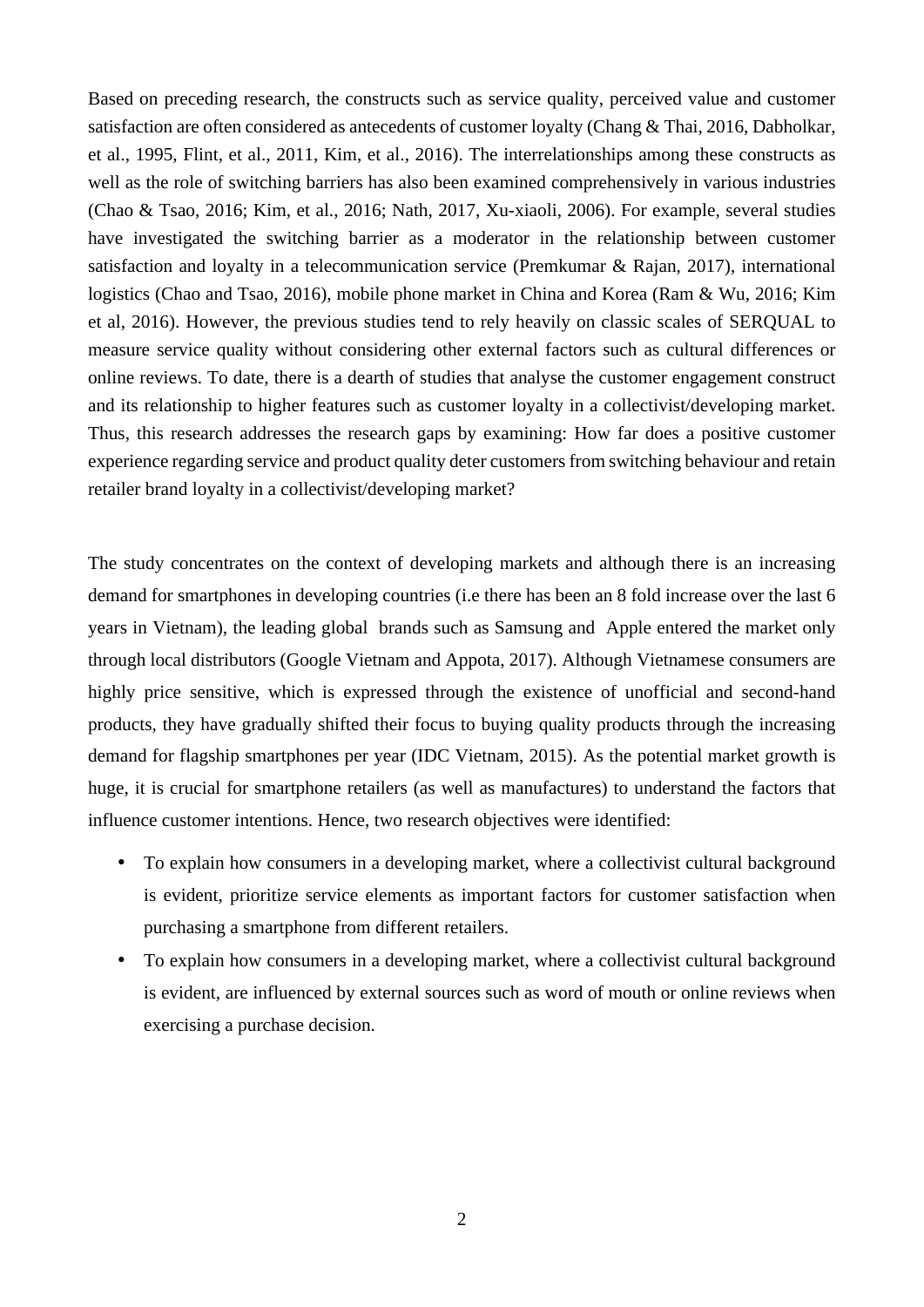Based on preceding research, the constructs such as service quality, perceived value and customer satisfaction are often considered as antecedents of customer loyalty (Chang & Thai, 2016, Dabholkar, et al., 1995, Flint, et al., 2011, Kim, et al., 2016). The interrelationships among these constructs as well as the role of switching barriers has also been examined comprehensively in various industries (Chao & Tsao, 2016; Kim, et al., 2016; Nath, 2017, Xu-xiaoli, 2006). For example, several studies have investigated the switching barrier as a moderator in the relationship between customer satisfaction and loyalty in a telecommunication service (Premkumar & Rajan, 2017), international logistics (Chao and Tsao, 2016), mobile phone market in China and Korea (Ram & Wu, 2016; Kim et al, 2016). However, the previous studies tend to rely heavily on classic scales of SERQUAL to measure service quality without considering other external factors such as cultural differences or online reviews. To date, there is a dearth of studies that analyse the customer engagement construct and its relationship to higher features such as customer loyalty in a collectivist/developing market. Thus, this research addresses the research gaps by examining: How far does a positive customer experience regarding service and product quality deter customers from switching behaviour and retain retailer brand loyalty in a collectivist/developing market?

The study concentrates on the context of developing markets and although there is an increasing demand for smartphones in developing countries (i.e there has been an 8 fold increase over the last 6 years in Vietnam), the leading global brands such as Samsung and Apple entered the market only through local distributors (Google Vietnam and Appota, 2017). Although Vietnamese consumers are highly price sensitive, which is expressed through the existence of unofficial and second-hand products, they have gradually shifted their focus to buying quality products through the increasing demand for flagship smartphones per year (IDC Vietnam, 2015). As the potential market growth is huge, it is crucial for smartphone retailers (as well as manufactures) to understand the factors that influence customer intentions. Hence, two research objectives were identified:

- To explain how consumers in a developing market, where a collectivist cultural background is evident, prioritize service elements as important factors for customer satisfaction when purchasing a smartphone from different retailers.
- To explain how consumers in a developing market, where a collectivist cultural background is evident, are influenced by external sources such as word of mouth or online reviews when exercising a purchase decision.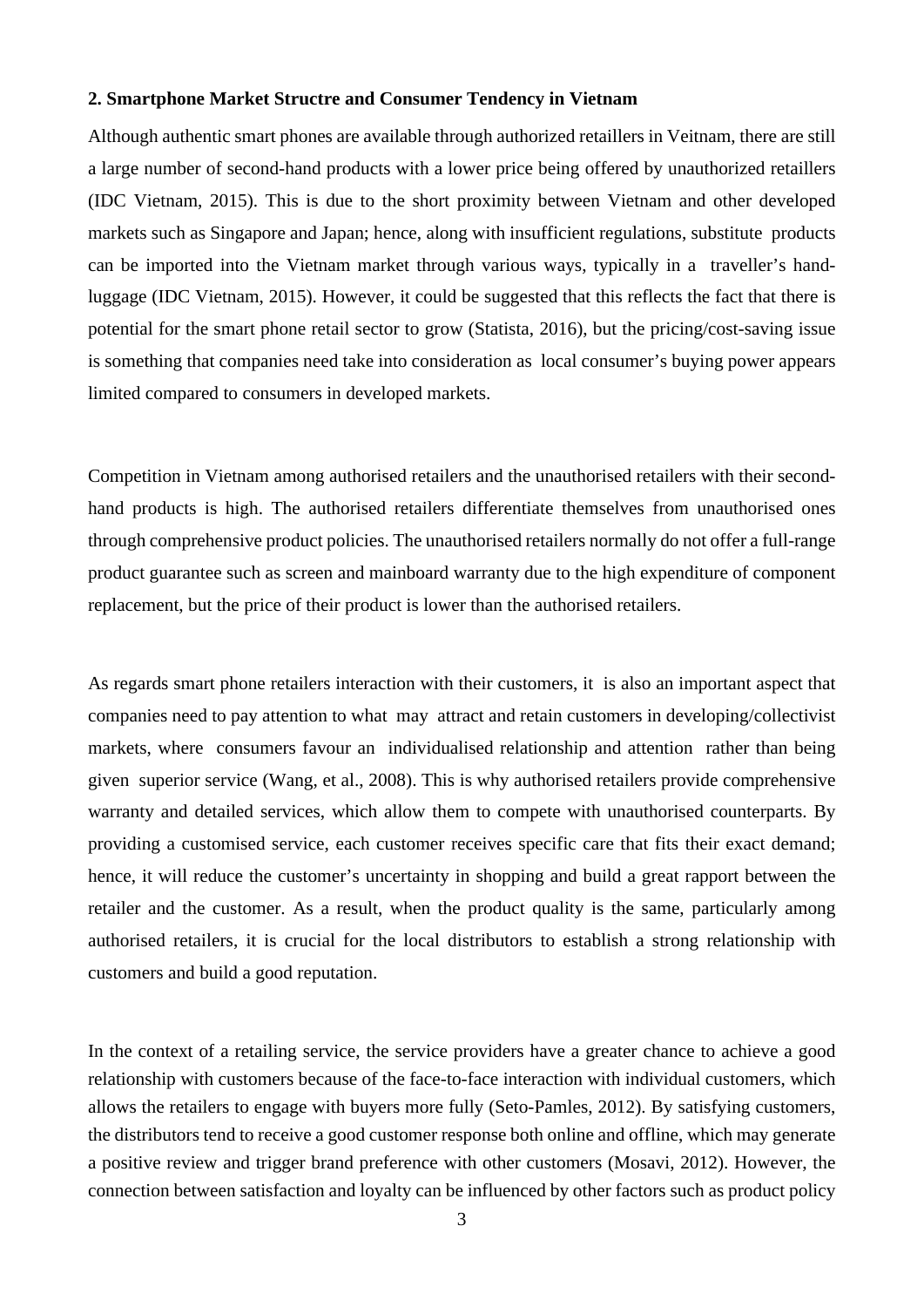#### **2. Smartphone Market Structre and Consumer Tendency in Vietnam**

Although authentic smart phones are available through authorized retaillers in Veitnam, there are still a large number of second-hand products with a lower price being offered by unauthorized retaillers (IDC Vietnam, 2015). This is due to the short proximity between Vietnam and other developed markets such as Singapore and Japan; hence, along with insufficient regulations, substitute products can be imported into the Vietnam market through various ways, typically in a traveller's handluggage (IDC Vietnam, 2015). However, it could be suggested that this reflects the fact that there is potential for the smart phone retail sector to grow (Statista, 2016), but the pricing/cost-saving issue is something that companies need take into consideration as local consumer's buying power appears limited compared to consumers in developed markets.

Competition in Vietnam among authorised retailers and the unauthorised retailers with their secondhand products is high. The authorised retailers differentiate themselves from unauthorised ones through comprehensive product policies. The unauthorised retailers normally do not offer a full-range product guarantee such as screen and mainboard warranty due to the high expenditure of component replacement, but the price of their product is lower than the authorised retailers.

As regards smart phone retailers interaction with their customers, it is also an important aspect that companies need to pay attention to what may attract and retain customers in developing/collectivist markets, where consumers favour an individualised relationship and attention rather than being given superior service (Wang, et al., 2008). This is why authorised retailers provide comprehensive warranty and detailed services, which allow them to compete with unauthorised counterparts. By providing a customised service, each customer receives specific care that fits their exact demand; hence, it will reduce the customer's uncertainty in shopping and build a great rapport between the retailer and the customer. As a result, when the product quality is the same, particularly among authorised retailers, it is crucial for the local distributors to establish a strong relationship with customers and build a good reputation.

In the context of a retailing service, the service providers have a greater chance to achieve a good relationship with customers because of the face-to-face interaction with individual customers, which allows the retailers to engage with buyers more fully (Seto-Pamles, 2012). By satisfying customers, the distributors tend to receive a good customer response both online and offline, which may generate a positive review and trigger brand preference with other customers (Mosavi, 2012). However, the connection between satisfaction and loyalty can be influenced by other factors such as product policy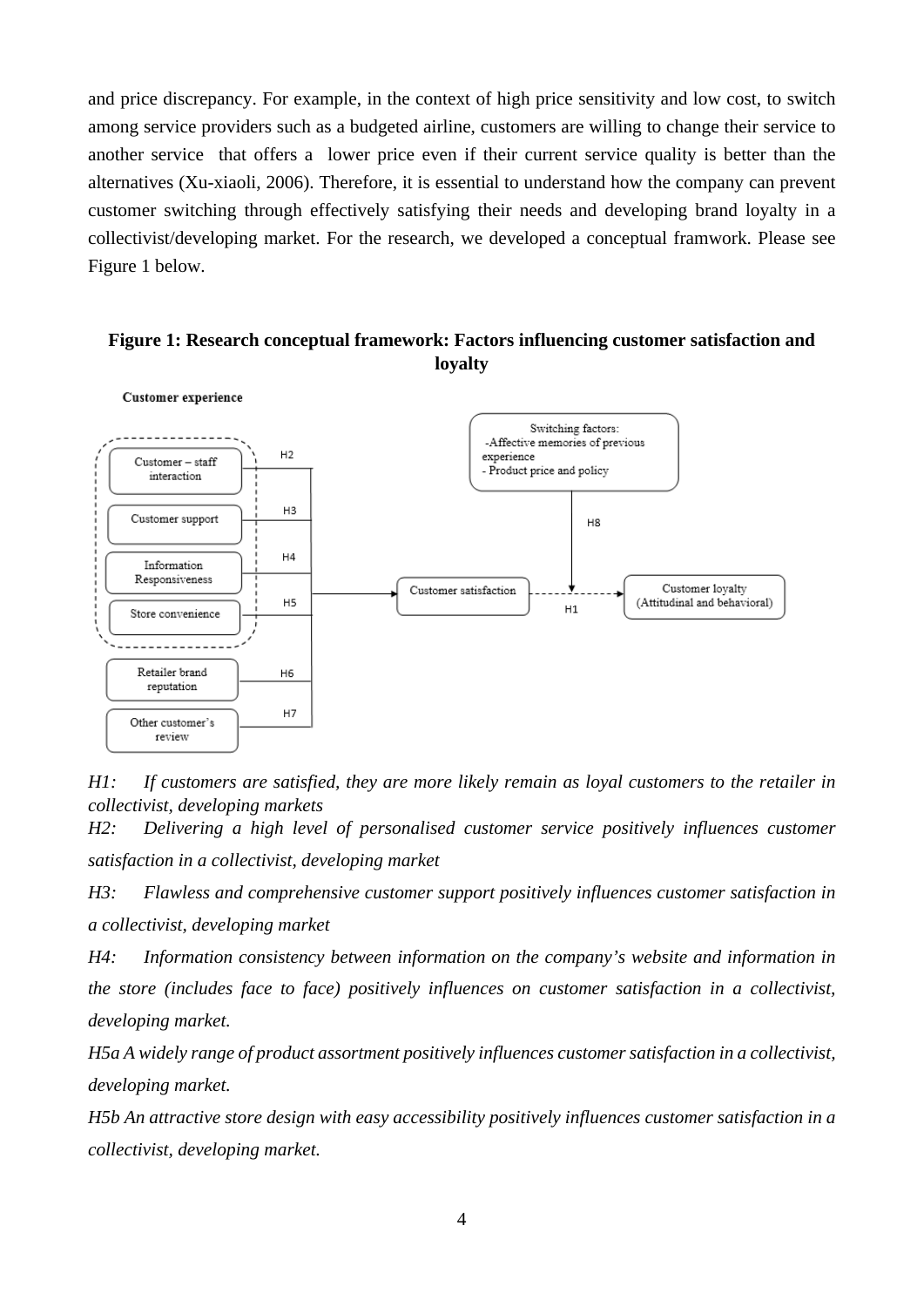and price discrepancy. For example, in the context of high price sensitivity and low cost, to switch among service providers such as a budgeted airline, customers are willing to change their service to another service that offers a lower price even if their current service quality is better than the alternatives (Xu-xiaoli, 2006). Therefore, it is essential to understand how the company can prevent customer switching through effectively satisfying their needs and developing brand loyalty in a collectivist/developing market. For the research, we developed a conceptual framwork. Please see Figure 1 below.





*H1: If customers are satisfied, they are more likely remain as loyal customers to the retailer in collectivist, developing markets*

*H2: Delivering a high level of personalised customer service positively influences customer satisfaction in a collectivist, developing market*

*H3: Flawless and comprehensive customer support positively influences customer satisfaction in a collectivist, developing market*

*H4: Information consistency between information on the company's website and information in the store (includes face to face) positively influences on customer satisfaction in a collectivist, developing market.*

*H5a A widely range of product assortment positively influences customer satisfaction in a collectivist, developing market.*

*H5b An attractive store design with easy accessibility positively influences customer satisfaction in a collectivist, developing market.*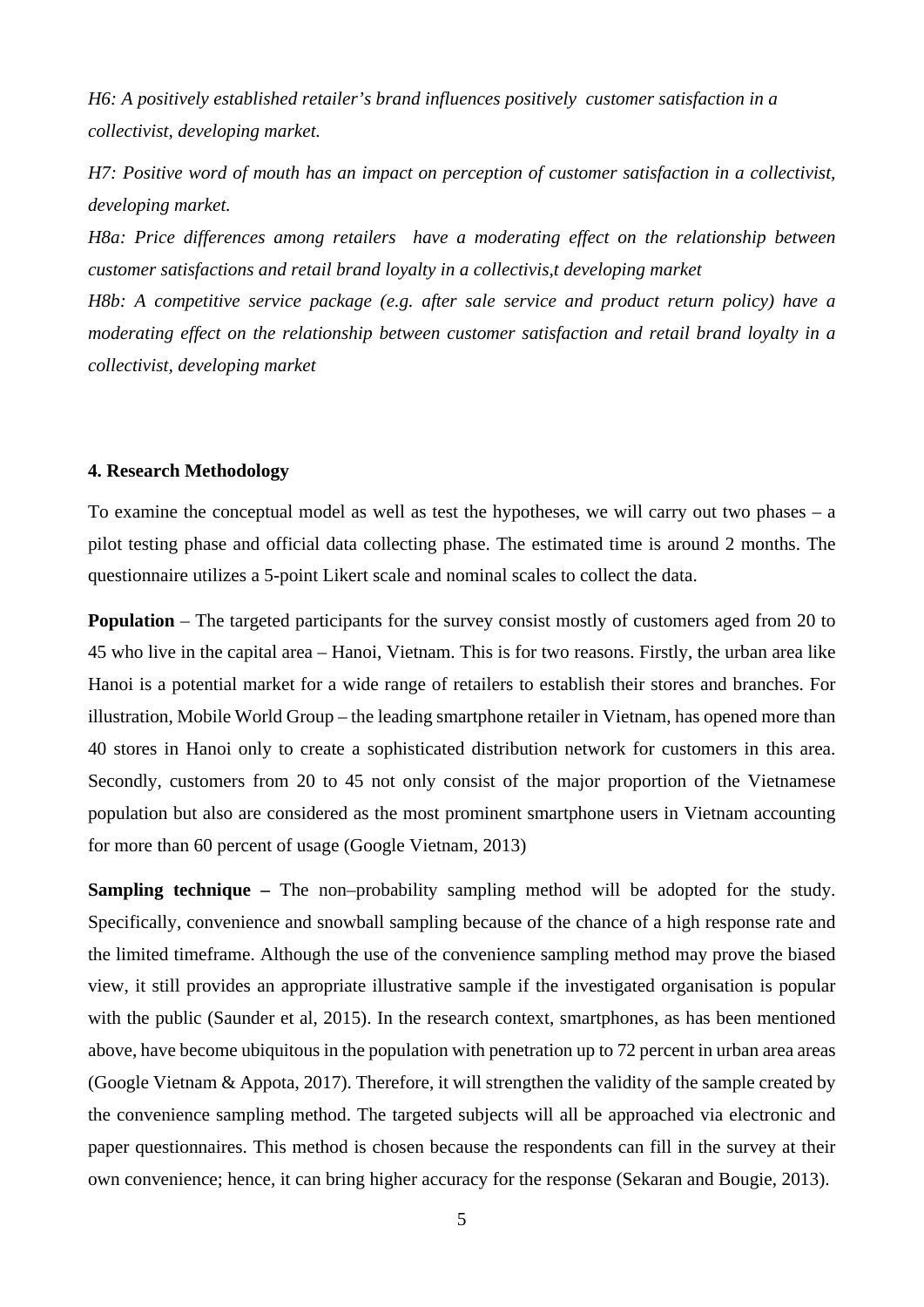*H6: A positively established retailer's brand influences positively customer satisfaction in a collectivist, developing market.*

*H7: Positive word of mouth has an impact on perception of customer satisfaction in a collectivist, developing market.*

*H8a: Price differences among retailers have a moderating effect on the relationship between customer satisfactions and retail brand loyalty in a collectivis,t developing market* 

*H8b: A competitive service package (e.g. after sale service and product return policy) have a moderating effect on the relationship between customer satisfaction and retail brand loyalty in a collectivist, developing market*

### **4. Research Methodology**

To examine the conceptual model as well as test the hypotheses, we will carry out two phases  $-$  a pilot testing phase and official data collecting phase. The estimated time is around 2 months. The questionnaire utilizes a 5-point Likert scale and nominal scales to collect the data.

**Population** – The targeted participants for the survey consist mostly of customers aged from 20 to 45 who live in the capital area – Hanoi, Vietnam. This is for two reasons. Firstly, the urban area like Hanoi is a potential market for a wide range of retailers to establish their stores and branches. For illustration, Mobile World Group – the leading smartphone retailer in Vietnam, has opened more than 40 stores in Hanoi only to create a sophisticated distribution network for customers in this area. Secondly, customers from 20 to 45 not only consist of the major proportion of the Vietnamese population but also are considered as the most prominent smartphone users in Vietnam accounting for more than 60 percent of usage (Google Vietnam, 2013)

**Sampling technique –** The non–probability sampling method will be adopted for the study. Specifically, convenience and snowball sampling because of the chance of a high response rate and the limited timeframe. Although the use of the convenience sampling method may prove the biased view, it still provides an appropriate illustrative sample if the investigated organisation is popular with the public (Saunder et al, 2015). In the research context, smartphones, as has been mentioned above, have become ubiquitous in the population with penetration up to 72 percent in urban area areas (Google Vietnam & Appota, 2017). Therefore, it will strengthen the validity of the sample created by the convenience sampling method. The targeted subjects will all be approached via electronic and paper questionnaires. This method is chosen because the respondents can fill in the survey at their own convenience; hence, it can bring higher accuracy for the response (Sekaran and Bougie, 2013).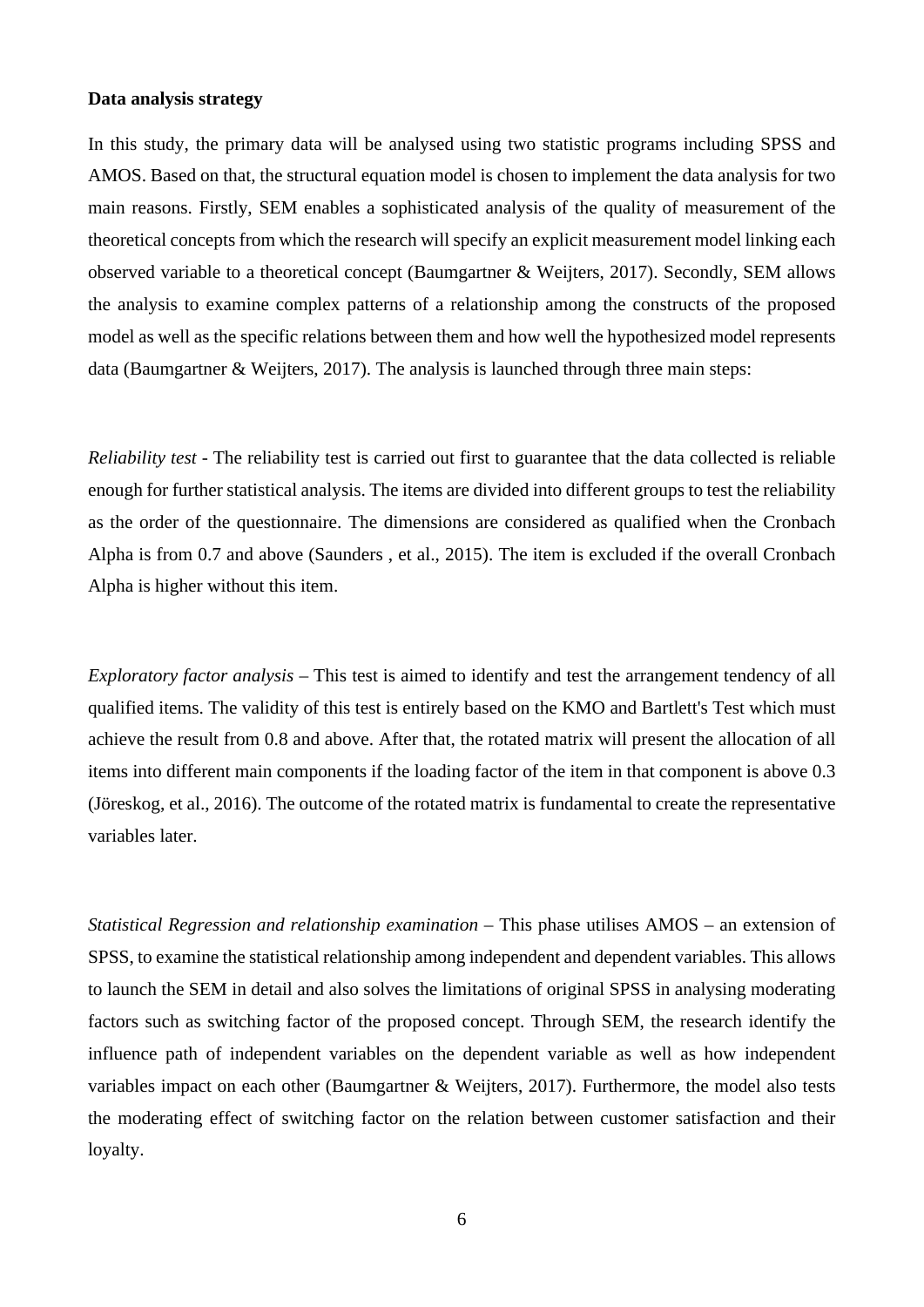#### **Data analysis strategy**

In this study, the primary data will be analysed using two statistic programs including SPSS and AMOS. Based on that, the structural equation model is chosen to implement the data analysis for two main reasons. Firstly, SEM enables a sophisticated analysis of the quality of measurement of the theoretical concepts from which the research will specify an explicit measurement model linking each observed variable to a theoretical concept (Baumgartner & Weijters, 2017). Secondly, SEM allows the analysis to examine complex patterns of a relationship among the constructs of the proposed model as well as the specific relations between them and how well the hypothesized model represents data (Baumgartner & Weijters, 2017). The analysis is launched through three main steps:

*Reliability test* - The reliability test is carried out first to guarantee that the data collected is reliable enough for further statistical analysis. The items are divided into different groups to test the reliability as the order of the questionnaire. The dimensions are considered as qualified when the Cronbach Alpha is from 0.7 and above (Saunders , et al., 2015). The item is excluded if the overall Cronbach Alpha is higher without this item.

*Exploratory factor analysis* – This test is aimed to identify and test the arrangement tendency of all qualified items. The validity of this test is entirely based on the KMO and Bartlett's Test which must achieve the result from 0.8 and above. After that, the rotated matrix will present the allocation of all items into different main components if the loading factor of the item in that component is above 0.3 (Jöreskog, et al., 2016). The outcome of the rotated matrix is fundamental to create the representative variables later.

*Statistical Regression and relationship examination* – This phase utilises AMOS – an extension of SPSS, to examine the statistical relationship among independent and dependent variables. This allows to launch the SEM in detail and also solves the limitations of original SPSS in analysing moderating factors such as switching factor of the proposed concept. Through SEM, the research identify the influence path of independent variables on the dependent variable as well as how independent variables impact on each other (Baumgartner & Weijters, 2017). Furthermore, the model also tests the moderating effect of switching factor on the relation between customer satisfaction and their loyalty.